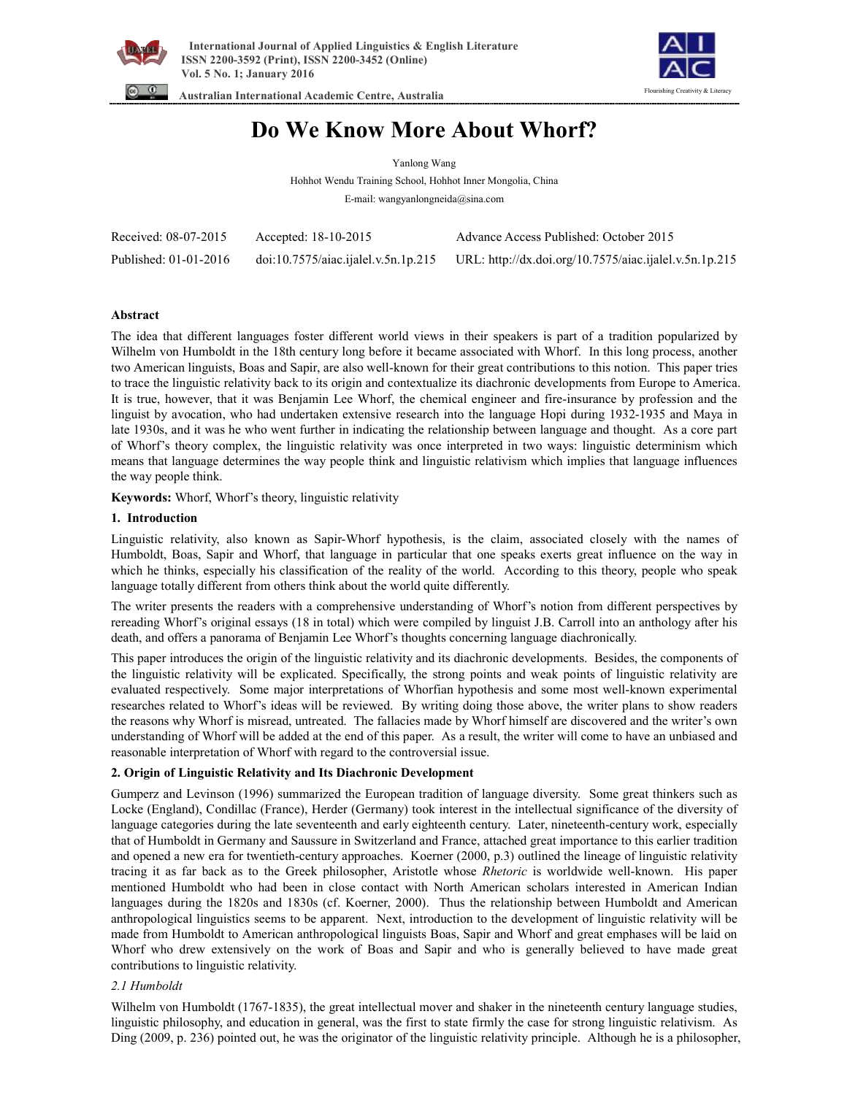



 **Australian International Academic Centre, Australia** 

# **Do We Know More About Whorf?**

Yanlong Wang

Hohhot Wendu Training School, Hohhot Inner Mongolia, China E-mail: wangyanlongneida@sina.com

| Received: 08-07-2015  | Accepted: 18-10-2015                | Advance Access Published: October 2015                 |
|-----------------------|-------------------------------------|--------------------------------------------------------|
| Published: 01-01-2016 | doi:10.7575/aiac.ijalel.v.5n.1p.215 | URL: http://dx.doi.org/10.7575/aiac.ijalel.v.5n.1p.215 |

# **Abstract**

The idea that different languages foster different world views in their speakers is part of a tradition popularized by Wilhelm von Humboldt in the 18th century long before it became associated with Whorf. In this long process, another two American linguists, Boas and Sapir, are also well-known for their great contributions to this notion. This paper tries to trace the linguistic relativity back to its origin and contextualize its diachronic developments from Europe to America. It is true, however, that it was Benjamin Lee Whorf, the chemical engineer and fire-insurance by profession and the linguist by avocation, who had undertaken extensive research into the language Hopi during 1932-1935 and Maya in late 1930s, and it was he who went further in indicating the relationship between language and thought. As a core part of Whorf's theory complex, the linguistic relativity was once interpreted in two ways: linguistic determinism which means that language determines the way people think and linguistic relativism which implies that language influences the way people think.

**Keywords:** Whorf, Whorf's theory, linguistic relativity

# **1. Introduction**

Linguistic relativity, also known as Sapir-Whorf hypothesis, is the claim, associated closely with the names of Humboldt, Boas, Sapir and Whorf, that language in particular that one speaks exerts great influence on the way in which he thinks, especially his classification of the reality of the world. According to this theory, people who speak language totally different from others think about the world quite differently.

The writer presents the readers with a comprehensive understanding of Whorf's notion from different perspectives by rereading Whorf's original essays (18 in total) which were compiled by linguist J.B. Carroll into an anthology after his death, and offers a panorama of Benjamin Lee Whorf's thoughts concerning language diachronically.

This paper introduces the origin of the linguistic relativity and its diachronic developments. Besides, the components of the linguistic relativity will be explicated. Specifically, the strong points and weak points of linguistic relativity are evaluated respectively. Some major interpretations of Whorfian hypothesis and some most well-known experimental researches related to Whorf's ideas will be reviewed. By writing doing those above, the writer plans to show readers the reasons why Whorf is misread, untreated. The fallacies made by Whorf himself are discovered and the writer's own understanding of Whorf will be added at the end of this paper. As a result, the writer will come to have an unbiased and reasonable interpretation of Whorf with regard to the controversial issue.

# **2. Origin of Linguistic Relativity and Its Diachronic Development**

Gumperz and Levinson (1996) summarized the European tradition of language diversity. Some great thinkers such as Locke (England), Condillac (France), Herder (Germany) took interest in the intellectual significance of the diversity of language categories during the late seventeenth and early eighteenth century. Later, nineteenth-century work, especially that of Humboldt in Germany and Saussure in Switzerland and France, attached great importance to this earlier tradition and opened a new era for twentieth-century approaches. Koerner (2000, p.3) outlined the lineage of linguistic relativity tracing it as far back as to the Greek philosopher, Aristotle whose *Rhetoric* is worldwide well-known. His paper mentioned Humboldt who had been in close contact with North American scholars interested in American Indian languages during the 1820s and 1830s (cf. Koerner, 2000). Thus the relationship between Humboldt and American anthropological linguistics seems to be apparent. Next, introduction to the development of linguistic relativity will be made from Humboldt to American anthropological linguists Boas, Sapir and Whorf and great emphases will be laid on Whorf who drew extensively on the work of Boas and Sapir and who is generally believed to have made great contributions to linguistic relativity.

# *2.1 Humboldt*

Wilhelm von Humboldt (1767-1835), the great intellectual mover and shaker in the nineteenth century language studies, linguistic philosophy, and education in general, was the first to state firmly the case for strong linguistic relativism. As Ding (2009, p. 236) pointed out, he was the originator of the linguistic relativity principle. Although he is a philosopher,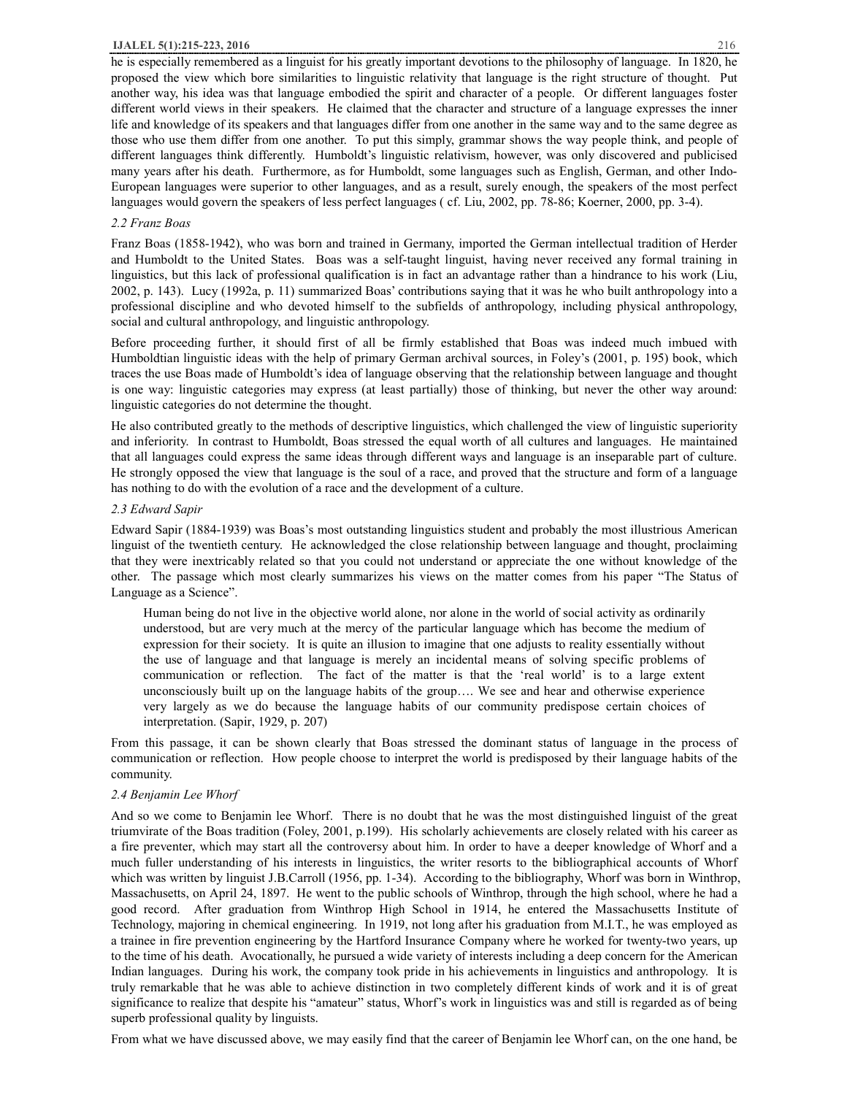#### **IJALEL 5(1):215-223, 2016** 216

he is especially remembered as a linguist for his greatly important devotions to the philosophy of language. In 1820, he proposed the view which bore similarities to linguistic relativity that language is the right structure of thought. Put another way, his idea was that language embodied the spirit and character of a people. Or different languages foster different world views in their speakers. He claimed that the character and structure of a language expresses the inner life and knowledge of its speakers and that languages differ from one another in the same way and to the same degree as those who use them differ from one another. To put this simply, grammar shows the way people think, and people of different languages think differently. Humboldt's linguistic relativism, however, was only discovered and publicised many years after his death. Furthermore, as for Humboldt, some languages such as English, German, and other Indo-European languages were superior to other languages, and as a result, surely enough, the speakers of the most perfect languages would govern the speakers of less perfect languages ( cf. Liu, 2002, pp. 78-86; Koerner, 2000, pp. 3-4).

# *2.2 Franz Boas*

Franz Boas (1858-1942), who was born and trained in Germany, imported the German intellectual tradition of Herder and Humboldt to the United States. Boas was a self-taught linguist, having never received any formal training in linguistics, but this lack of professional qualification is in fact an advantage rather than a hindrance to his work (Liu, 2002, p. 143). Lucy (1992a, p. 11) summarized Boas' contributions saying that it was he who built anthropology into a professional discipline and who devoted himself to the subfields of anthropology, including physical anthropology, social and cultural anthropology, and linguistic anthropology.

Before proceeding further, it should first of all be firmly established that Boas was indeed much imbued with Humboldtian linguistic ideas with the help of primary German archival sources, in Foley's (2001, p. 195) book, which traces the use Boas made of Humboldt's idea of language observing that the relationship between language and thought is one way: linguistic categories may express (at least partially) those of thinking, but never the other way around: linguistic categories do not determine the thought.

He also contributed greatly to the methods of descriptive linguistics, which challenged the view of linguistic superiority and inferiority. In contrast to Humboldt, Boas stressed the equal worth of all cultures and languages. He maintained that all languages could express the same ideas through different ways and language is an inseparable part of culture. He strongly opposed the view that language is the soul of a race, and proved that the structure and form of a language has nothing to do with the evolution of a race and the development of a culture.

# *2.3 Edward Sapir*

Edward Sapir (1884-1939) was Boas's most outstanding linguistics student and probably the most illustrious American linguist of the twentieth century. He acknowledged the close relationship between language and thought, proclaiming that they were inextricably related so that you could not understand or appreciate the one without knowledge of the other. The passage which most clearly summarizes his views on the matter comes from his paper "The Status of Language as a Science".

Human being do not live in the objective world alone, nor alone in the world of social activity as ordinarily understood, but are very much at the mercy of the particular language which has become the medium of expression for their society. It is quite an illusion to imagine that one adjusts to reality essentially without the use of language and that language is merely an incidental means of solving specific problems of communication or reflection. The fact of the matter is that the 'real world' is to a large extent unconsciously built up on the language habits of the group…. We see and hear and otherwise experience very largely as we do because the language habits of our community predispose certain choices of interpretation. (Sapir, 1929, p. 207)

From this passage, it can be shown clearly that Boas stressed the dominant status of language in the process of communication or reflection. How people choose to interpret the world is predisposed by their language habits of the community.

## *2.4 Benjamin Lee Whorf*

And so we come to Benjamin lee Whorf. There is no doubt that he was the most distinguished linguist of the great triumvirate of the Boas tradition (Foley, 2001, p.199). His scholarly achievements are closely related with his career as a fire preventer, which may start all the controversy about him. In order to have a deeper knowledge of Whorf and a much fuller understanding of his interests in linguistics, the writer resorts to the bibliographical accounts of Whorf which was written by linguist J.B.Carroll (1956, pp. 1-34). According to the bibliography, Whorf was born in Winthrop, Massachusetts, on April 24, 1897. He went to the public schools of Winthrop, through the high school, where he had a good record. After graduation from Winthrop High School in 1914, he entered the Massachusetts Institute of Technology, majoring in chemical engineering. In 1919, not long after his graduation from M.I.T., he was employed as a trainee in fire prevention engineering by the Hartford Insurance Company where he worked for twenty-two years, up to the time of his death. Avocationally, he pursued a wide variety of interests including a deep concern for the American Indian languages. During his work, the company took pride in his achievements in linguistics and anthropology. It is truly remarkable that he was able to achieve distinction in two completely different kinds of work and it is of great significance to realize that despite his "amateur" status, Whorf's work in linguistics was and still is regarded as of being superb professional quality by linguists.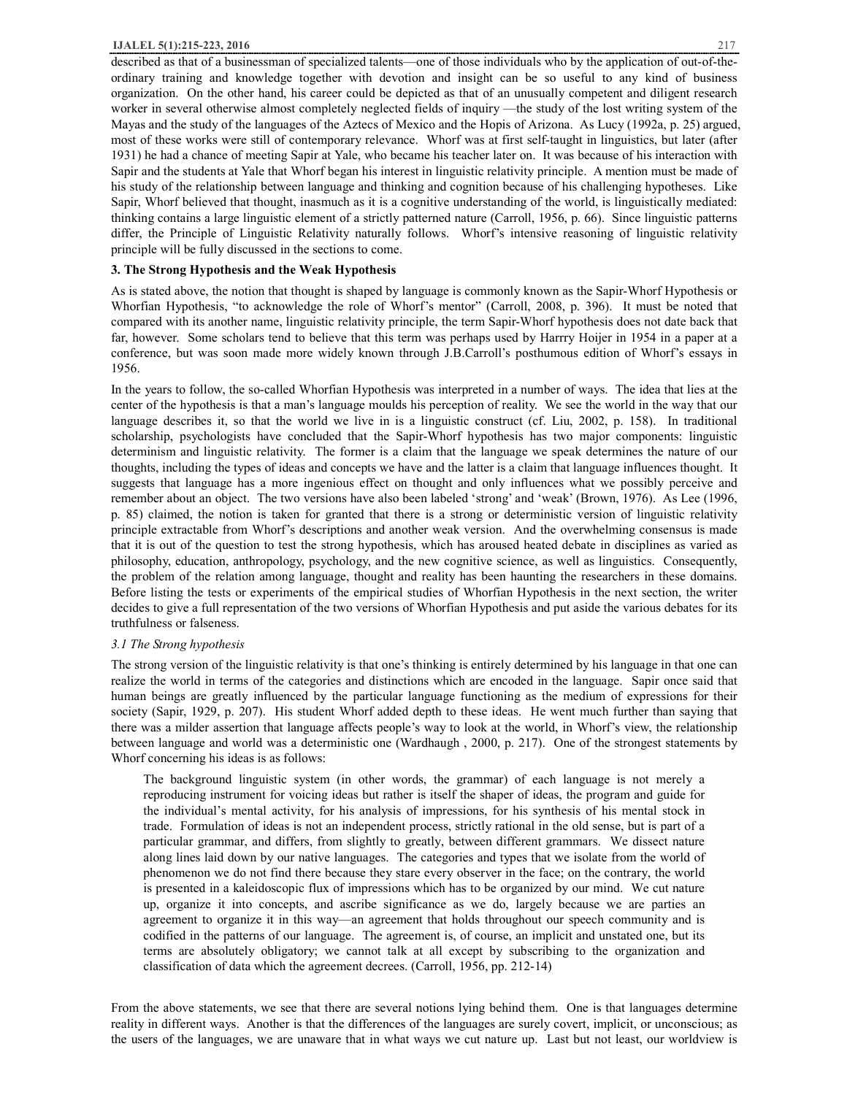described as that of a businessman of specialized talents—one of those individuals who by the application of out-of-theordinary training and knowledge together with devotion and insight can be so useful to any kind of business organization. On the other hand, his career could be depicted as that of an unusually competent and diligent research worker in several otherwise almost completely neglected fields of inquiry —the study of the lost writing system of the Mayas and the study of the languages of the Aztecs of Mexico and the Hopis of Arizona. As Lucy (1992a, p. 25) argued, most of these works were still of contemporary relevance. Whorf was at first self-taught in linguistics, but later (after 1931) he had a chance of meeting Sapir at Yale, who became his teacher later on. It was because of his interaction with Sapir and the students at Yale that Whorf began his interest in linguistic relativity principle. A mention must be made of his study of the relationship between language and thinking and cognition because of his challenging hypotheses. Like Sapir, Whorf believed that thought, inasmuch as it is a cognitive understanding of the world, is linguistically mediated: thinking contains a large linguistic element of a strictly patterned nature (Carroll, 1956, p. 66). Since linguistic patterns differ, the Principle of Linguistic Relativity naturally follows. Whorf's intensive reasoning of linguistic relativity principle will be fully discussed in the sections to come.

## **3. The Strong Hypothesis and the Weak Hypothesis**

As is stated above, the notion that thought is shaped by language is commonly known as the Sapir-Whorf Hypothesis or Whorfian Hypothesis, "to acknowledge the role of Whorf's mentor" (Carroll, 2008, p. 396). It must be noted that compared with its another name, linguistic relativity principle, the term Sapir-Whorf hypothesis does not date back that far, however. Some scholars tend to believe that this term was perhaps used by Harrry Hoijer in 1954 in a paper at a conference, but was soon made more widely known through J.B.Carroll's posthumous edition of Whorf's essays in 1956.

In the years to follow, the so-called Whorfian Hypothesis was interpreted in a number of ways. The idea that lies at the center of the hypothesis is that a man's language moulds his perception of reality. We see the world in the way that our language describes it, so that the world we live in is a linguistic construct (cf. Liu, 2002, p. 158). In traditional scholarship, psychologists have concluded that the Sapir-Whorf hypothesis has two major components: linguistic determinism and linguistic relativity. The former is a claim that the language we speak determines the nature of our thoughts, including the types of ideas and concepts we have and the latter is a claim that language influences thought. It suggests that language has a more ingenious effect on thought and only influences what we possibly perceive and remember about an object. The two versions have also been labeled 'strong' and 'weak' (Brown, 1976). As Lee (1996, p. 85) claimed, the notion is taken for granted that there is a strong or deterministic version of linguistic relativity principle extractable from Whorf's descriptions and another weak version. And the overwhelming consensus is made that it is out of the question to test the strong hypothesis, which has aroused heated debate in disciplines as varied as philosophy, education, anthropology, psychology, and the new cognitive science, as well as linguistics. Consequently, the problem of the relation among language, thought and reality has been haunting the researchers in these domains. Before listing the tests or experiments of the empirical studies of Whorfian Hypothesis in the next section, the writer decides to give a full representation of the two versions of Whorfian Hypothesis and put aside the various debates for its truthfulness or falseness.

## *3.1 The Strong hypothesis*

The strong version of the linguistic relativity is that one's thinking is entirely determined by his language in that one can realize the world in terms of the categories and distinctions which are encoded in the language. Sapir once said that human beings are greatly influenced by the particular language functioning as the medium of expressions for their society (Sapir, 1929, p. 207). His student Whorf added depth to these ideas. He went much further than saying that there was a milder assertion that language affects people's way to look at the world, in Whorf's view, the relationship between language and world was a deterministic one (Wardhaugh , 2000, p. 217). One of the strongest statements by Whorf concerning his ideas is as follows:

The background linguistic system (in other words, the grammar) of each language is not merely a reproducing instrument for voicing ideas but rather is itself the shaper of ideas, the program and guide for the individual's mental activity, for his analysis of impressions, for his synthesis of his mental stock in trade. Formulation of ideas is not an independent process, strictly rational in the old sense, but is part of a particular grammar, and differs, from slightly to greatly, between different grammars. We dissect nature along lines laid down by our native languages. The categories and types that we isolate from the world of phenomenon we do not find there because they stare every observer in the face; on the contrary, the world is presented in a kaleidoscopic flux of impressions which has to be organized by our mind. We cut nature up, organize it into concepts, and ascribe significance as we do, largely because we are parties an agreement to organize it in this way—an agreement that holds throughout our speech community and is codified in the patterns of our language. The agreement is, of course, an implicit and unstated one, but its terms are absolutely obligatory; we cannot talk at all except by subscribing to the organization and classification of data which the agreement decrees. (Carroll, 1956, pp. 212-14)

From the above statements, we see that there are several notions lying behind them. One is that languages determine reality in different ways. Another is that the differences of the languages are surely covert, implicit, or unconscious; as the users of the languages, we are unaware that in what ways we cut nature up. Last but not least, our worldview is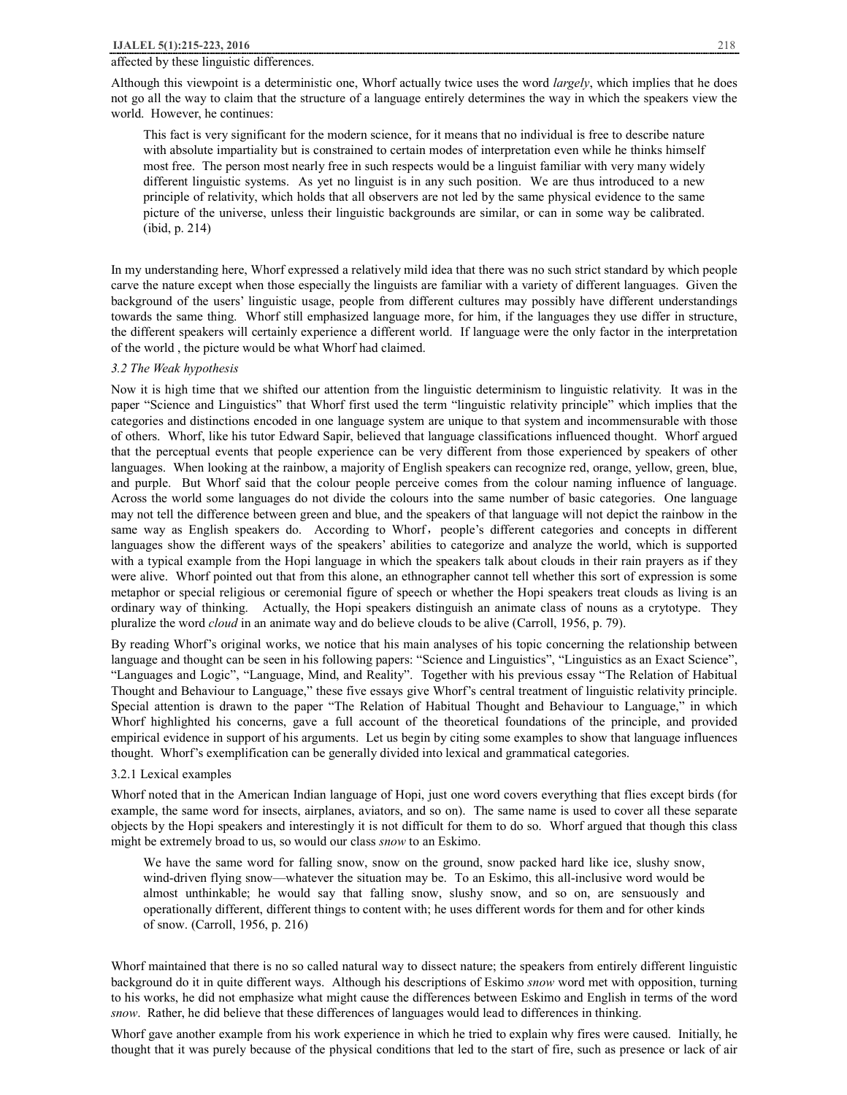## affected by these linguistic differences.

Although this viewpoint is a deterministic one, Whorf actually twice uses the word *largely*, which implies that he does not go all the way to claim that the structure of a language entirely determines the way in which the speakers view the world. However, he continues:

This fact is very significant for the modern science, for it means that no individual is free to describe nature with absolute impartiality but is constrained to certain modes of interpretation even while he thinks himself most free. The person most nearly free in such respects would be a linguist familiar with very many widely different linguistic systems. As yet no linguist is in any such position. We are thus introduced to a new principle of relativity, which holds that all observers are not led by the same physical evidence to the same picture of the universe, unless their linguistic backgrounds are similar, or can in some way be calibrated. (ibid, p. 214)

In my understanding here, Whorf expressed a relatively mild idea that there was no such strict standard by which people carve the nature except when those especially the linguists are familiar with a variety of different languages. Given the background of the users' linguistic usage, people from different cultures may possibly have different understandings towards the same thing. Whorf still emphasized language more, for him, if the languages they use differ in structure, the different speakers will certainly experience a different world. If language were the only factor in the interpretation of the world , the picture would be what Whorf had claimed.

## *3.2 The Weak hypothesis*

Now it is high time that we shifted our attention from the linguistic determinism to linguistic relativity. It was in the paper "Science and Linguistics" that Whorf first used the term "linguistic relativity principle" which implies that the categories and distinctions encoded in one language system are unique to that system and incommensurable with those of others. Whorf, like his tutor Edward Sapir, believed that language classifications influenced thought. Whorf argued that the perceptual events that people experience can be very different from those experienced by speakers of other languages. When looking at the rainbow, a majority of English speakers can recognize red, orange, yellow, green, blue, and purple. But Whorf said that the colour people perceive comes from the colour naming influence of language. Across the world some languages do not divide the colours into the same number of basic categories. One language may not tell the difference between green and blue, and the speakers of that language will not depict the rainbow in the same way as English speakers do. According to Whorf, people's different categories and concepts in different languages show the different ways of the speakers' abilities to categorize and analyze the world, which is supported with a typical example from the Hopi language in which the speakers talk about clouds in their rain prayers as if they were alive. Whorf pointed out that from this alone, an ethnographer cannot tell whether this sort of expression is some metaphor or special religious or ceremonial figure of speech or whether the Hopi speakers treat clouds as living is an ordinary way of thinking. Actually, the Hopi speakers distinguish an animate class of nouns as a crytotype. They pluralize the word *cloud* in an animate way and do believe clouds to be alive (Carroll, 1956, p. 79).

By reading Whorf's original works, we notice that his main analyses of his topic concerning the relationship between language and thought can be seen in his following papers: "Science and Linguistics", "Linguistics as an Exact Science", "Languages and Logic", "Language, Mind, and Reality". Together with his previous essay "The Relation of Habitual Thought and Behaviour to Language," these five essays give Whorf's central treatment of linguistic relativity principle. Special attention is drawn to the paper "The Relation of Habitual Thought and Behaviour to Language," in which Whorf highlighted his concerns, gave a full account of the theoretical foundations of the principle, and provided empirical evidence in support of his arguments. Let us begin by citing some examples to show that language influences thought. Whorf's exemplification can be generally divided into lexical and grammatical categories.

# 3.2.1 Lexical examples

Whorf noted that in the American Indian language of Hopi, just one word covers everything that flies except birds (for example, the same word for insects, airplanes, aviators, and so on). The same name is used to cover all these separate objects by the Hopi speakers and interestingly it is not difficult for them to do so. Whorf argued that though this class might be extremely broad to us, so would our class *snow* to an Eskimo.

We have the same word for falling snow, snow on the ground, snow packed hard like ice, slushy snow, wind-driven flying snow—whatever the situation may be. To an Eskimo, this all-inclusive word would be almost unthinkable; he would say that falling snow, slushy snow, and so on, are sensuously and operationally different, different things to content with; he uses different words for them and for other kinds of snow. (Carroll, 1956, p. 216)

Whorf maintained that there is no so called natural way to dissect nature; the speakers from entirely different linguistic background do it in quite different ways. Although his descriptions of Eskimo *snow* word met with opposition, turning to his works, he did not emphasize what might cause the differences between Eskimo and English in terms of the word *snow*. Rather, he did believe that these differences of languages would lead to differences in thinking.

Whorf gave another example from his work experience in which he tried to explain why fires were caused. Initially, he thought that it was purely because of the physical conditions that led to the start of fire, such as presence or lack of air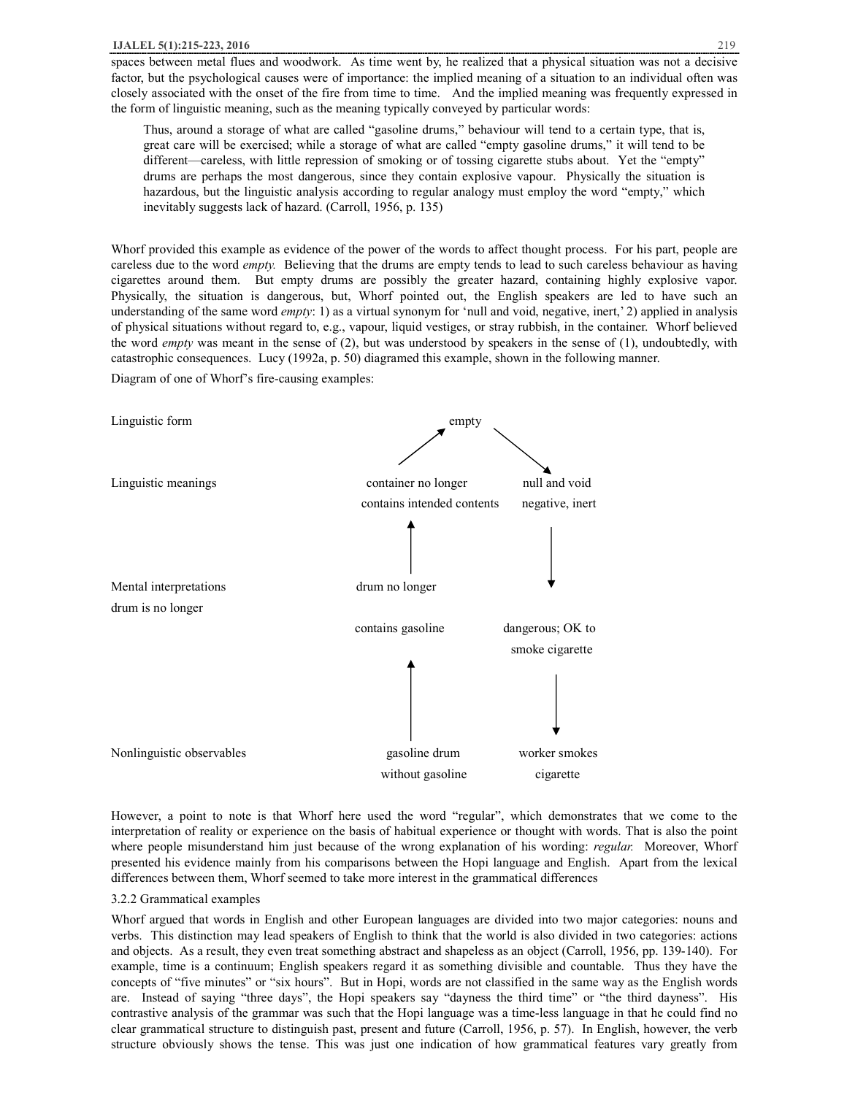spaces between metal flues and woodwork. As time went by, he realized that a physical situation was not a decisive factor, but the psychological causes were of importance: the implied meaning of a situation to an individual often was closely associated with the onset of the fire from time to time. And the implied meaning was frequently expressed in the form of linguistic meaning, such as the meaning typically conveyed by particular words:

Thus, around a storage of what are called "gasoline drums," behaviour will tend to a certain type, that is, great care will be exercised; while a storage of what are called "empty gasoline drums," it will tend to be different—careless, with little repression of smoking or of tossing cigarette stubs about. Yet the "empty" drums are perhaps the most dangerous, since they contain explosive vapour. Physically the situation is hazardous, but the linguistic analysis according to regular analogy must employ the word "empty," which inevitably suggests lack of hazard. (Carroll, 1956, p. 135)

Whorf provided this example as evidence of the power of the words to affect thought process. For his part, people are careless due to the word *empty.* Believing that the drums are empty tends to lead to such careless behaviour as having cigarettes around them. But empty drums are possibly the greater hazard, containing highly explosive vapor. Physically, the situation is dangerous, but, Whorf pointed out, the English speakers are led to have such an understanding of the same word *empty*: 1) as a virtual synonym for 'null and void, negative, inert,' 2) applied in analysis of physical situations without regard to, e.g., vapour, liquid vestiges, or stray rubbish, in the container. Whorf believed the word *empty* was meant in the sense of (2), but was understood by speakers in the sense of (1), undoubtedly, with catastrophic consequences. Lucy (1992a, p. 50) diagramed this example, shown in the following manner.

Diagram of one of Whorf's fire-causing examples:



However, a point to note is that Whorf here used the word "regular", which demonstrates that we come to the interpretation of reality or experience on the basis of habitual experience or thought with words. That is also the point where people misunderstand him just because of the wrong explanation of his wording: *regular.* Moreover, Whorf presented his evidence mainly from his comparisons between the Hopi language and English. Apart from the lexical differences between them, Whorf seemed to take more interest in the grammatical differences

#### 3.2.2 Grammatical examples

Whorf argued that words in English and other European languages are divided into two major categories: nouns and verbs. This distinction may lead speakers of English to think that the world is also divided in two categories: actions and objects. As a result, they even treat something abstract and shapeless as an object (Carroll, 1956, pp. 139-140). For example, time is a continuum; English speakers regard it as something divisible and countable. Thus they have the concepts of "five minutes" or "six hours". But in Hopi, words are not classified in the same way as the English words are. Instead of saying "three days", the Hopi speakers say "dayness the third time" or "the third dayness". His contrastive analysis of the grammar was such that the Hopi language was a time-less language in that he could find no clear grammatical structure to distinguish past, present and future (Carroll, 1956, p. 57). In English, however, the verb structure obviously shows the tense. This was just one indication of how grammatical features vary greatly from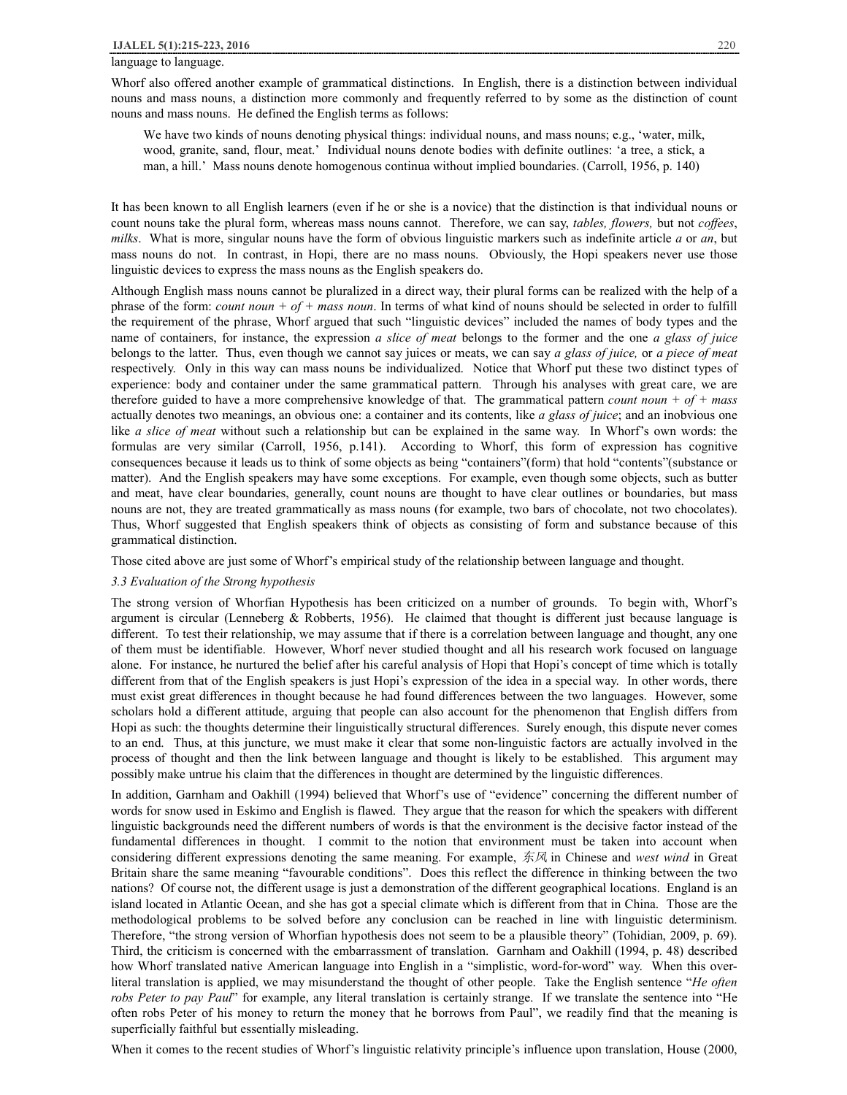## language to language.

Whorf also offered another example of grammatical distinctions. In English, there is a distinction between individual nouns and mass nouns, a distinction more commonly and frequently referred to by some as the distinction of count nouns and mass nouns. He defined the English terms as follows:

We have two kinds of nouns denoting physical things: individual nouns, and mass nouns; e.g., 'water, milk, wood, granite, sand, flour, meat.' Individual nouns denote bodies with definite outlines: 'a tree, a stick, a man, a hill.' Mass nouns denote homogenous continua without implied boundaries. (Carroll, 1956, p. 140)

It has been known to all English learners (even if he or she is a novice) that the distinction is that individual nouns or count nouns take the plural form, whereas mass nouns cannot. Therefore, we can say, *tables, flowers,* but not *coffees*, *milks*. What is more, singular nouns have the form of obvious linguistic markers such as indefinite article *a* or *an*, but mass nouns do not. In contrast, in Hopi, there are no mass nouns. Obviously, the Hopi speakers never use those linguistic devices to express the mass nouns as the English speakers do.

Although English mass nouns cannot be pluralized in a direct way, their plural forms can be realized with the help of a phrase of the form: *count noun + of + mass noun*. In terms of what kind of nouns should be selected in order to fulfill the requirement of the phrase, Whorf argued that such "linguistic devices" included the names of body types and the name of containers, for instance, the expression *a slice of meat* belongs to the former and the one *a glass of juice* belongs to the latter. Thus, even though we cannot say juices or meats, we can say *a glass of juice,* or *a piece of meat*  respectively. Only in this way can mass nouns be individualized. Notice that Whorf put these two distinct types of experience: body and container under the same grammatical pattern. Through his analyses with great care, we are therefore guided to have a more comprehensive knowledge of that. The grammatical pattern *count noun + of + mass*  actually denotes two meanings, an obvious one: a container and its contents, like *a glass of juice*; and an inobvious one like *a slice of meat* without such a relationship but can be explained in the same way. In Whorf's own words: the formulas are very similar (Carroll, 1956, p.141). According to Whorf, this form of expression has cognitive consequences because it leads us to think of some objects as being "containers"(form) that hold "contents"(substance or matter). And the English speakers may have some exceptions. For example, even though some objects, such as butter and meat, have clear boundaries, generally, count nouns are thought to have clear outlines or boundaries, but mass nouns are not, they are treated grammatically as mass nouns (for example, two bars of chocolate, not two chocolates). Thus, Whorf suggested that English speakers think of objects as consisting of form and substance because of this grammatical distinction.

Those cited above are just some of Whorf's empirical study of the relationship between language and thought.

#### *3.3 Evaluation of the Strong hypothesis*

The strong version of Whorfian Hypothesis has been criticized on a number of grounds. To begin with, Whorf's argument is circular (Lenneberg & Robberts, 1956). He claimed that thought is different just because language is different. To test their relationship, we may assume that if there is a correlation between language and thought, any one of them must be identifiable. However, Whorf never studied thought and all his research work focused on language alone. For instance, he nurtured the belief after his careful analysis of Hopi that Hopi's concept of time which is totally different from that of the English speakers is just Hopi's expression of the idea in a special way. In other words, there must exist great differences in thought because he had found differences between the two languages. However, some scholars hold a different attitude, arguing that people can also account for the phenomenon that English differs from Hopi as such: the thoughts determine their linguistically structural differences. Surely enough, this dispute never comes to an end. Thus, at this juncture, we must make it clear that some non-linguistic factors are actually involved in the process of thought and then the link between language and thought is likely to be established. This argument may possibly make untrue his claim that the differences in thought are determined by the linguistic differences.

In addition, Garnham and Oakhill (1994) believed that Whorf's use of "evidence" concerning the different number of words for snow used in Eskimo and English is flawed. They argue that the reason for which the speakers with different linguistic backgrounds need the different numbers of words is that the environment is the decisive factor instead of the fundamental differences in thought. I commit to the notion that environment must be taken into account when considering different expressions denoting the same meaning. For example, *东风* in Chinese and *west wind* in Great Britain share the same meaning "favourable conditions". Does this reflect the difference in thinking between the two nations? Of course not, the different usage is just a demonstration of the different geographical locations. England is an island located in Atlantic Ocean, and she has got a special climate which is different from that in China. Those are the methodological problems to be solved before any conclusion can be reached in line with linguistic determinism. Therefore, "the strong version of Whorfian hypothesis does not seem to be a plausible theory" (Tohidian, 2009, p. 69). Third, the criticism is concerned with the embarrassment of translation. Garnham and Oakhill (1994, p. 48) described how Whorf translated native American language into English in a "simplistic, word-for-word" way. When this overliteral translation is applied, we may misunderstand the thought of other people. Take the English sentence "*He often robs Peter to pay Paul*" for example, any literal translation is certainly strange. If we translate the sentence into "He often robs Peter of his money to return the money that he borrows from Paul", we readily find that the meaning is superficially faithful but essentially misleading.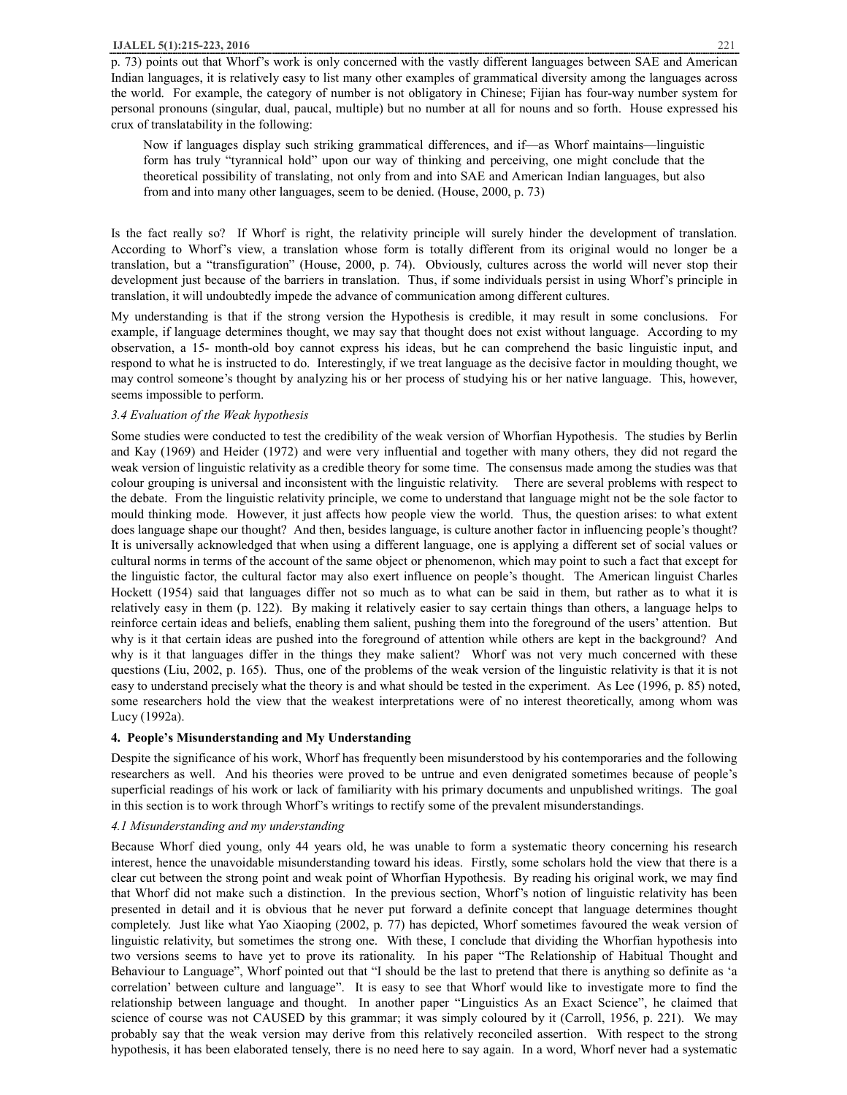#### **IJALEL 5(1):215-223, 2016** 221

Now if languages display such striking grammatical differences, and if—as Whorf maintains—linguistic form has truly "tyrannical hold" upon our way of thinking and perceiving, one might conclude that the theoretical possibility of translating, not only from and into SAE and American Indian languages, but also from and into many other languages, seem to be denied. (House, 2000, p. 73)

Is the fact really so? If Whorf is right, the relativity principle will surely hinder the development of translation. According to Whorf's view, a translation whose form is totally different from its original would no longer be a translation, but a "transfiguration" (House, 2000, p. 74). Obviously, cultures across the world will never stop their development just because of the barriers in translation. Thus, if some individuals persist in using Whorf's principle in translation, it will undoubtedly impede the advance of communication among different cultures.

My understanding is that if the strong version the Hypothesis is credible, it may result in some conclusions. For example, if language determines thought, we may say that thought does not exist without language. According to my observation, a 15- month-old boy cannot express his ideas, but he can comprehend the basic linguistic input, and respond to what he is instructed to do. Interestingly, if we treat language as the decisive factor in moulding thought, we may control someone's thought by analyzing his or her process of studying his or her native language. This, however, seems impossible to perform.

## *3.4 Evaluation of the Weak hypothesis*

Some studies were conducted to test the credibility of the weak version of Whorfian Hypothesis. The studies by Berlin and Kay (1969) and Heider (1972) and were very influential and together with many others, they did not regard the weak version of linguistic relativity as a credible theory for some time. The consensus made among the studies was that colour grouping is universal and inconsistent with the linguistic relativity. There are several problems with respect to the debate. From the linguistic relativity principle, we come to understand that language might not be the sole factor to mould thinking mode. However, it just affects how people view the world. Thus, the question arises: to what extent does language shape our thought? And then, besides language, is culture another factor in influencing people's thought? It is universally acknowledged that when using a different language, one is applying a different set of social values or cultural norms in terms of the account of the same object or phenomenon, which may point to such a fact that except for the linguistic factor, the cultural factor may also exert influence on people's thought. The American linguist Charles Hockett (1954) said that languages differ not so much as to what can be said in them, but rather as to what it is relatively easy in them (p. 122). By making it relatively easier to say certain things than others, a language helps to reinforce certain ideas and beliefs, enabling them salient, pushing them into the foreground of the users' attention. But why is it that certain ideas are pushed into the foreground of attention while others are kept in the background? And why is it that languages differ in the things they make salient? Whorf was not very much concerned with these questions (Liu, 2002, p. 165). Thus, one of the problems of the weak version of the linguistic relativity is that it is not easy to understand precisely what the theory is and what should be tested in the experiment. As Lee (1996, p. 85) noted, some researchers hold the view that the weakest interpretations were of no interest theoretically, among whom was Lucy (1992a).

# **4. People's Misunderstanding and My Understanding**

Despite the significance of his work, Whorf has frequently been misunderstood by his contemporaries and the following researchers as well. And his theories were proved to be untrue and even denigrated sometimes because of people's superficial readings of his work or lack of familiarity with his primary documents and unpublished writings. The goal in this section is to work through Whorf's writings to rectify some of the prevalent misunderstandings.

## *4.1 Misunderstanding and my understanding*

Because Whorf died young, only 44 years old, he was unable to form a systematic theory concerning his research interest, hence the unavoidable misunderstanding toward his ideas. Firstly, some scholars hold the view that there is a clear cut between the strong point and weak point of Whorfian Hypothesis. By reading his original work, we may find that Whorf did not make such a distinction. In the previous section, Whorf's notion of linguistic relativity has been presented in detail and it is obvious that he never put forward a definite concept that language determines thought completely. Just like what Yao Xiaoping (2002, p. 77) has depicted, Whorf sometimes favoured the weak version of linguistic relativity, but sometimes the strong one. With these, I conclude that dividing the Whorfian hypothesis into two versions seems to have yet to prove its rationality. In his paper "The Relationship of Habitual Thought and Behaviour to Language", Whorf pointed out that "I should be the last to pretend that there is anything so definite as 'a correlation' between culture and language". It is easy to see that Whorf would like to investigate more to find the relationship between language and thought. In another paper "Linguistics As an Exact Science", he claimed that science of course was not CAUSED by this grammar; it was simply coloured by it (Carroll, 1956, p. 221). We may probably say that the weak version may derive from this relatively reconciled assertion. With respect to the strong hypothesis, it has been elaborated tensely, there is no need here to say again. In a word, Whorf never had a systematic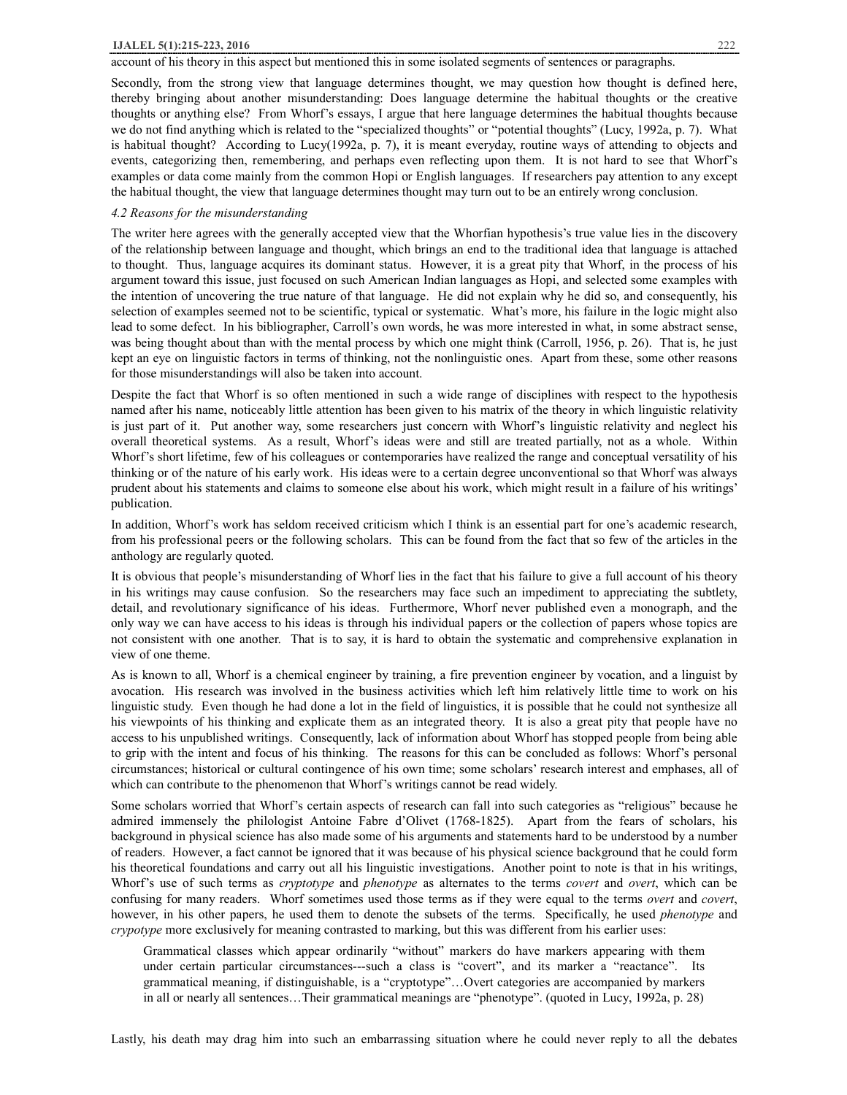#### **IJALEL 5(1):215-223, 2016** 222

## account of his theory in this aspect but mentioned this in some isolated segments of sentences or paragraphs.

Secondly, from the strong view that language determines thought, we may question how thought is defined here, thereby bringing about another misunderstanding: Does language determine the habitual thoughts or the creative thoughts or anything else? From Whorf's essays, I argue that here language determines the habitual thoughts because we do not find anything which is related to the "specialized thoughts" or "potential thoughts" (Lucy, 1992a, p. 7). What is habitual thought? According to Lucy(1992a, p. 7), it is meant everyday, routine ways of attending to objects and events, categorizing then, remembering, and perhaps even reflecting upon them. It is not hard to see that Whorf's examples or data come mainly from the common Hopi or English languages. If researchers pay attention to any except the habitual thought, the view that language determines thought may turn out to be an entirely wrong conclusion.

# *4.2 Reasons for the misunderstanding*

The writer here agrees with the generally accepted view that the Whorfian hypothesis's true value lies in the discovery of the relationship between language and thought, which brings an end to the traditional idea that language is attached to thought. Thus, language acquires its dominant status. However, it is a great pity that Whorf, in the process of his argument toward this issue, just focused on such American Indian languages as Hopi, and selected some examples with the intention of uncovering the true nature of that language. He did not explain why he did so, and consequently, his selection of examples seemed not to be scientific, typical or systematic. What's more, his failure in the logic might also lead to some defect. In his bibliographer, Carroll's own words, he was more interested in what, in some abstract sense, was being thought about than with the mental process by which one might think (Carroll, 1956, p. 26). That is, he just kept an eye on linguistic factors in terms of thinking, not the nonlinguistic ones. Apart from these, some other reasons for those misunderstandings will also be taken into account.

Despite the fact that Whorf is so often mentioned in such a wide range of disciplines with respect to the hypothesis named after his name, noticeably little attention has been given to his matrix of the theory in which linguistic relativity is just part of it. Put another way, some researchers just concern with Whorf's linguistic relativity and neglect his overall theoretical systems. As a result, Whorf's ideas were and still are treated partially, not as a whole. Within Whorf's short lifetime, few of his colleagues or contemporaries have realized the range and conceptual versatility of his thinking or of the nature of his early work. His ideas were to a certain degree unconventional so that Whorf was always prudent about his statements and claims to someone else about his work, which might result in a failure of his writings' publication.

In addition, Whorf's work has seldom received criticism which I think is an essential part for one's academic research, from his professional peers or the following scholars. This can be found from the fact that so few of the articles in the anthology are regularly quoted.

It is obvious that people's misunderstanding of Whorf lies in the fact that his failure to give a full account of his theory in his writings may cause confusion. So the researchers may face such an impediment to appreciating the subtlety, detail, and revolutionary significance of his ideas. Furthermore, Whorf never published even a monograph, and the only way we can have access to his ideas is through his individual papers or the collection of papers whose topics are not consistent with one another. That is to say, it is hard to obtain the systematic and comprehensive explanation in view of one theme.

As is known to all, Whorf is a chemical engineer by training, a fire prevention engineer by vocation, and a linguist by avocation. His research was involved in the business activities which left him relatively little time to work on his linguistic study. Even though he had done a lot in the field of linguistics, it is possible that he could not synthesize all his viewpoints of his thinking and explicate them as an integrated theory. It is also a great pity that people have no access to his unpublished writings. Consequently, lack of information about Whorf has stopped people from being able to grip with the intent and focus of his thinking. The reasons for this can be concluded as follows: Whorf's personal circumstances; historical or cultural contingence of his own time; some scholars' research interest and emphases, all of which can contribute to the phenomenon that Whorf's writings cannot be read widely.

Some scholars worried that Whorf's certain aspects of research can fall into such categories as "religious" because he admired immensely the philologist Antoine Fabre d'Olivet (1768-1825). Apart from the fears of scholars, his background in physical science has also made some of his arguments and statements hard to be understood by a number of readers. However, a fact cannot be ignored that it was because of his physical science background that he could form his theoretical foundations and carry out all his linguistic investigations. Another point to note is that in his writings, Whorf's use of such terms as *cryptotype* and *phenotype* as alternates to the terms *covert* and *overt*, which can be confusing for many readers. Whorf sometimes used those terms as if they were equal to the terms *overt* and *covert*, however, in his other papers, he used them to denote the subsets of the terms. Specifically, he used *phenotype* and *crypotype* more exclusively for meaning contrasted to marking, but this was different from his earlier uses:

Grammatical classes which appear ordinarily "without" markers do have markers appearing with them under certain particular circumstances---such a class is "covert", and its marker a "reactance". Its grammatical meaning, if distinguishable, is a "cryptotype"…Overt categories are accompanied by markers in all or nearly all sentences…Their grammatical meanings are "phenotype". (quoted in Lucy, 1992a, p. 28)

Lastly, his death may drag him into such an embarrassing situation where he could never reply to all the debates